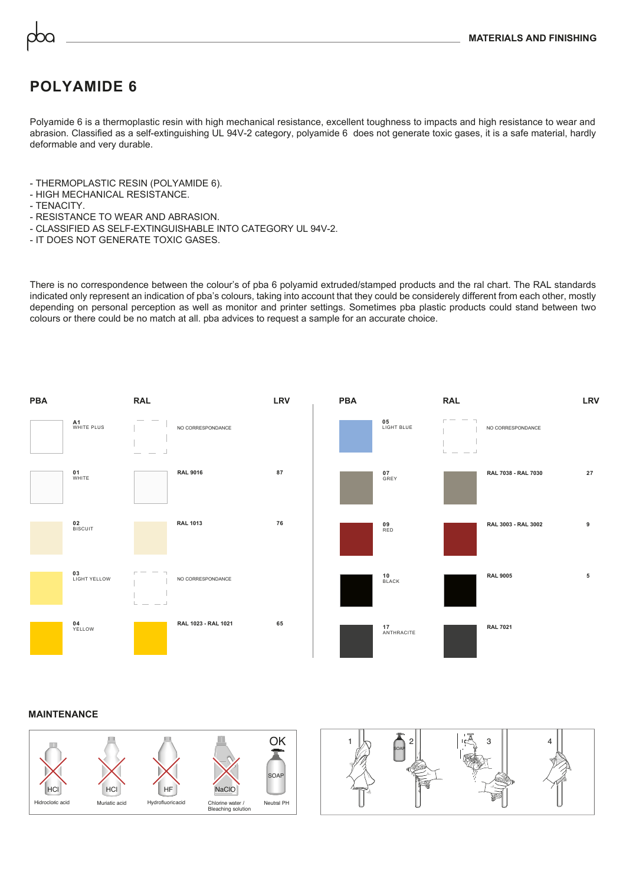## **POLYAMIDE 6**

Polyamide 6 is a thermoplastic resin with high mechanical resistance, excellent toughness to impacts and high resistance to wear and abrasion. Classified as a self-extinguishing UL 94V-2 category, polyamide 6 does not generate toxic gases, it is a safe material, hardly deformable and very durable.

- THERMOPLASTIC RESIN (POLYAMIDE 6).
- HIGH MECHANICAL RESISTANCE.
- TENACITY.
- RESISTANCE TO WEAR AND ABRASION.
- CLASSIFIED AS SELF-EXTINGUISHABLE INTO CATEGORY UL 94V-2.
- IT DOES NOT GENERATE TOXIC GASES.

There is no correspondence between the colour's of pba 6 polyamid extruded/stamped products and the ral chart. The RAL standards indicated only represent an indication of pba's colours, taking into account that they could be considerely different from each other, mostly depending on personal perception as well as monitor and printer settings. Sometimes pba plastic products could stand between two colours or there could be no match at all. pba advices to request a sample for an accurate choice.



## **MAINTENANCE**